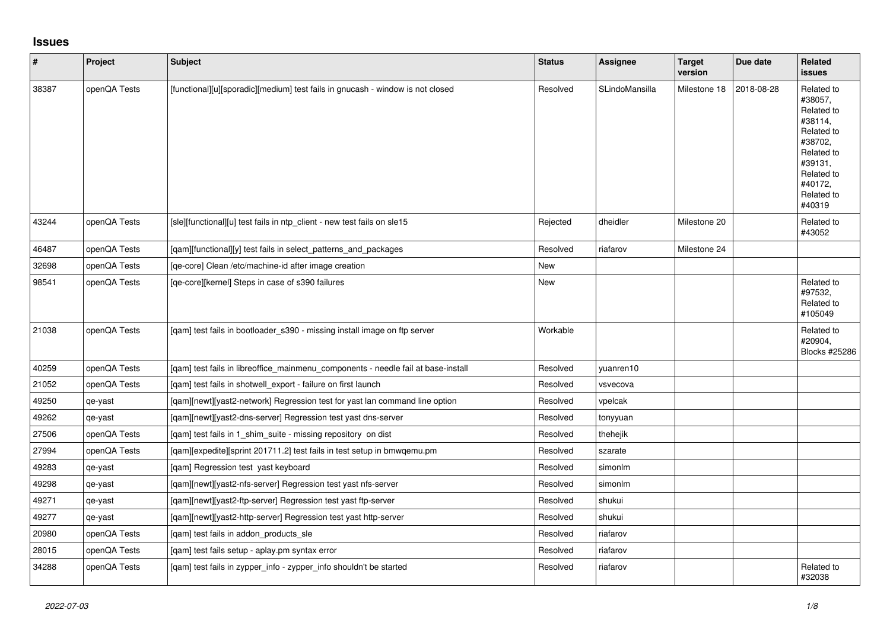## **Issues**

| $\vert$ # | Project      | <b>Subject</b>                                                                    | <b>Status</b> | Assignee       | <b>Target</b><br>version | Due date   | Related<br><b>issues</b>                                                                                                                          |
|-----------|--------------|-----------------------------------------------------------------------------------|---------------|----------------|--------------------------|------------|---------------------------------------------------------------------------------------------------------------------------------------------------|
| 38387     | openQA Tests | [functional][u][sporadic][medium] test fails in gnucash - window is not closed    | Resolved      | SLindoMansilla | Milestone 18             | 2018-08-28 | Related to<br>#38057.<br>Related to<br>#38114,<br>Related to<br>#38702,<br>Related to<br>#39131,<br>Related to<br>#40172.<br>Related to<br>#40319 |
| 43244     | openQA Tests | [sle][functional][u] test fails in ntp_client - new test fails on sle15           | Rejected      | dheidler       | Milestone 20             |            | Related to<br>#43052                                                                                                                              |
| 46487     | openQA Tests | [qam][functional][y] test fails in select_patterns_and_packages                   | Resolved      | riafarov       | Milestone 24             |            |                                                                                                                                                   |
| 32698     | openQA Tests | [qe-core] Clean /etc/machine-id after image creation                              | New           |                |                          |            |                                                                                                                                                   |
| 98541     | openQA Tests | [qe-core][kernel] Steps in case of s390 failures                                  | New           |                |                          |            | Related to<br>#97532,<br>Related to<br>#105049                                                                                                    |
| 21038     | openQA Tests | [gam] test fails in bootloader s390 - missing install image on ftp server         | Workable      |                |                          |            | Related to<br>#20904,<br>Blocks #25286                                                                                                            |
| 40259     | openQA Tests | [gam] test fails in libreoffice mainmenu components - needle fail at base-install | Resolved      | yuanren10      |                          |            |                                                                                                                                                   |
| 21052     | openQA Tests | [qam] test fails in shotwell_export - failure on first launch                     | Resolved      | vsvecova       |                          |            |                                                                                                                                                   |
| 49250     | qe-yast      | [gam][newt][yast2-network] Regression test for yast lan command line option       | Resolved      | vpelcak        |                          |            |                                                                                                                                                   |
| 49262     | qe-yast      | [qam][newt][yast2-dns-server] Regression test yast dns-server                     | Resolved      | tonyyuan       |                          |            |                                                                                                                                                   |
| 27506     | openQA Tests | [qam] test fails in 1_shim_suite - missing repository on dist                     | Resolved      | thehejik       |                          |            |                                                                                                                                                   |
| 27994     | openQA Tests | [qam][expedite][sprint 201711.2] test fails in test setup in bmwqemu.pm           | Resolved      | szarate        |                          |            |                                                                                                                                                   |
| 49283     | qe-yast      | [qam] Regression test yast keyboard                                               | Resolved      | simonlm        |                          |            |                                                                                                                                                   |
| 49298     | qe-yast      | [qam][newt][yast2-nfs-server] Regression test yast nfs-server                     | Resolved      | simonlm        |                          |            |                                                                                                                                                   |
| 49271     | qe-yast      | [qam][newt][yast2-ftp-server] Regression test yast ftp-server                     | Resolved      | shukui         |                          |            |                                                                                                                                                   |
| 49277     | qe-yast      | [qam][newt][yast2-http-server] Regression test yast http-server                   | Resolved      | shukui         |                          |            |                                                                                                                                                   |
| 20980     | openQA Tests | [qam] test fails in addon_products_sle                                            | Resolved      | riafarov       |                          |            |                                                                                                                                                   |
| 28015     | openQA Tests | [qam] test fails setup - aplay.pm syntax error                                    | Resolved      | riafarov       |                          |            |                                                                                                                                                   |
| 34288     | openQA Tests | [qam] test fails in zypper_info - zypper_info shouldn't be started                | Resolved      | riafarov       |                          |            | Related to<br>#32038                                                                                                                              |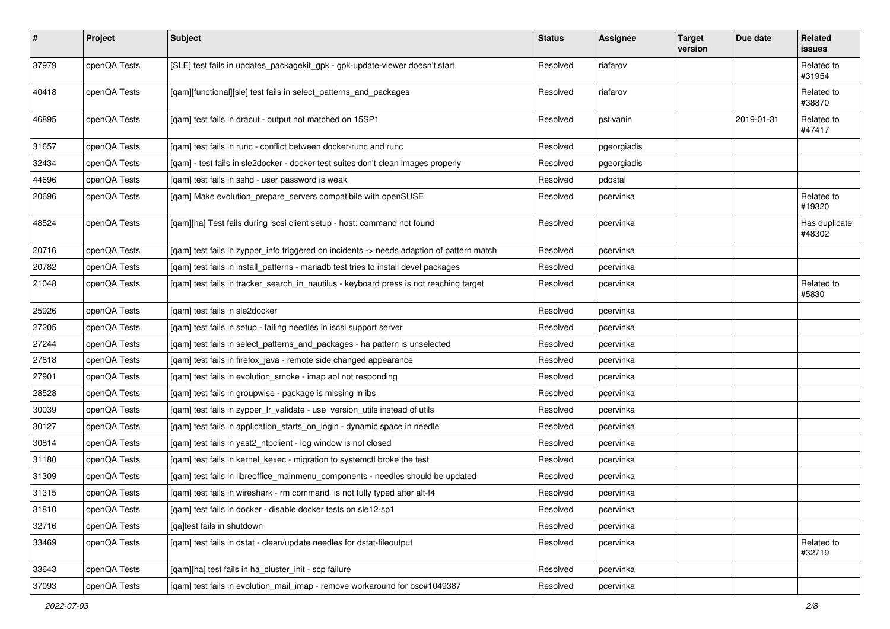| $\sharp$ | Project      | <b>Subject</b>                                                                            | <b>Status</b> | Assignee    | <b>Target</b><br>version | Due date   | <b>Related</b><br>issues |
|----------|--------------|-------------------------------------------------------------------------------------------|---------------|-------------|--------------------------|------------|--------------------------|
| 37979    | openQA Tests | [SLE] test fails in updates_packagekit_gpk - gpk-update-viewer doesn't start              | Resolved      | riafarov    |                          |            | Related to<br>#31954     |
| 40418    | openQA Tests | [qam][functional][sle] test fails in select_patterns_and_packages                         | Resolved      | riafarov    |                          |            | Related to<br>#38870     |
| 46895    | openQA Tests | [qam] test fails in dracut - output not matched on 15SP1                                  | Resolved      | pstivanin   |                          | 2019-01-31 | Related to<br>#47417     |
| 31657    | openQA Tests | [qam] test fails in runc - conflict between docker-runc and runc                          | Resolved      | pgeorgiadis |                          |            |                          |
| 32434    | openQA Tests | [qam] - test fails in sle2docker - docker test suites don't clean images properly         | Resolved      | pgeorgiadis |                          |            |                          |
| 44696    | openQA Tests | [qam] test fails in sshd - user password is weak                                          | Resolved      | pdostal     |                          |            |                          |
| 20696    | openQA Tests | [qam] Make evolution_prepare_servers compatibile with openSUSE                            | Resolved      | pcervinka   |                          |            | Related to<br>#19320     |
| 48524    | openQA Tests | [qam][ha] Test fails during iscsi client setup - host: command not found                  | Resolved      | pcervinka   |                          |            | Has duplicate<br>#48302  |
| 20716    | openQA Tests | [qam] test fails in zypper_info triggered on incidents -> needs adaption of pattern match | Resolved      | pcervinka   |                          |            |                          |
| 20782    | openQA Tests | [gam] test fails in install patterns - mariadb test tries to install devel packages       | Resolved      | pcervinka   |                          |            |                          |
| 21048    | openQA Tests | [qam] test fails in tracker_search_in_nautilus - keyboard press is not reaching target    | Resolved      | pcervinka   |                          |            | Related to<br>#5830      |
| 25926    | openQA Tests | [gam] test fails in sle2docker                                                            | Resolved      | pcervinka   |                          |            |                          |
| 27205    | openQA Tests | [qam] test fails in setup - failing needles in iscsi support server                       | Resolved      | pcervinka   |                          |            |                          |
| 27244    | openQA Tests | [qam] test fails in select_patterns_and_packages - ha pattern is unselected               | Resolved      | pcervinka   |                          |            |                          |
| 27618    | openQA Tests | [qam] test fails in firefox_java - remote side changed appearance                         | Resolved      | pcervinka   |                          |            |                          |
| 27901    | openQA Tests | [qam] test fails in evolution_smoke - imap aol not responding                             | Resolved      | pcervinka   |                          |            |                          |
| 28528    | openQA Tests | [gam] test fails in groupwise - package is missing in ibs                                 | Resolved      | pcervinka   |                          |            |                          |
| 30039    | openQA Tests | [qam] test fails in zypper_lr_validate - use version_utils instead of utils               | Resolved      | pcervinka   |                          |            |                          |
| 30127    | openQA Tests | [qam] test fails in application_starts_on_login - dynamic space in needle                 | Resolved      | pcervinka   |                          |            |                          |
| 30814    | openQA Tests | [gam] test fails in yast2 ntpclient - log window is not closed                            | Resolved      | pcervinka   |                          |            |                          |
| 31180    | openQA Tests | [qam] test fails in kernel_kexec - migration to systemctl broke the test                  | Resolved      | pcervinka   |                          |            |                          |
| 31309    | openQA Tests | [gam] test fails in libreoffice mainmenu components - needles should be updated           | Resolved      | pcervinka   |                          |            |                          |
| 31315    | openQA Tests | [qam] test fails in wireshark - rm command is not fully typed after alt-f4                | Resolved      | pcervinka   |                          |            |                          |
| 31810    | openQA Tests | [gam] test fails in docker - disable docker tests on sle12-sp1                            | Resolved      | pcervinka   |                          |            |                          |
| 32716    | openQA Tests | [ga]test fails in shutdown                                                                | Resolved      | pcervinka   |                          |            |                          |
| 33469    | openQA Tests | [qam] test fails in dstat - clean/update needles for dstat-fileoutput                     | Resolved      | pcervinka   |                          |            | Related to<br>#32719     |
| 33643    | openQA Tests | [qam][ha] test fails in ha_cluster_init - scp failure                                     | Resolved      | pcervinka   |                          |            |                          |
| 37093    | openQA Tests | [qam] test fails in evolution_mail_imap - remove workaround for bsc#1049387               | Resolved      | pcervinka   |                          |            |                          |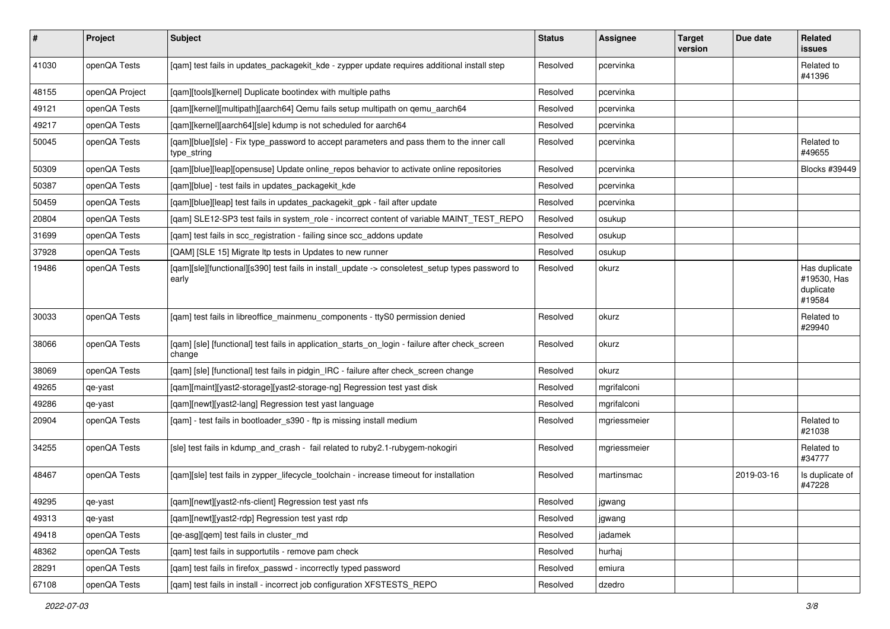| #     | Project        | Subject                                                                                                   | <b>Status</b> | Assignee     | <b>Target</b><br>version | Due date   | Related<br>issues                                   |
|-------|----------------|-----------------------------------------------------------------------------------------------------------|---------------|--------------|--------------------------|------------|-----------------------------------------------------|
| 41030 | openQA Tests   | [qam] test fails in updates_packagekit_kde - zypper update requires additional install step               | Resolved      | pcervinka    |                          |            | Related to<br>#41396                                |
| 48155 | openQA Project | [qam][tools][kernel] Duplicate bootindex with multiple paths                                              | Resolved      | pcervinka    |                          |            |                                                     |
| 49121 | openQA Tests   | [qam][kernel][multipath][aarch64] Qemu fails setup multipath on qemu_aarch64                              | Resolved      | pcervinka    |                          |            |                                                     |
| 49217 | openQA Tests   | [gam][kernel][aarch64][sle] kdump is not scheduled for aarch64                                            | Resolved      | pcervinka    |                          |            |                                                     |
| 50045 | openQA Tests   | [qam][blue][sle] - Fix type_password to accept parameters and pass them to the inner call<br>type_string  | Resolved      | pcervinka    |                          |            | Related to<br>#49655                                |
| 50309 | openQA Tests   | [qam][blue][leap][opensuse] Update online_repos behavior to activate online repositories                  | Resolved      | pcervinka    |                          |            | Blocks #39449                                       |
| 50387 | openQA Tests   | [qam][blue] - test fails in updates_packagekit_kde                                                        | Resolved      | pcervinka    |                          |            |                                                     |
| 50459 | openQA Tests   | [qam][blue][leap] test fails in updates_packagekit_gpk - fail after update                                | Resolved      | pcervinka    |                          |            |                                                     |
| 20804 | openQA Tests   | [qam] SLE12-SP3 test fails in system_role - incorrect content of variable MAINT_TEST_REPO                 | Resolved      | osukup       |                          |            |                                                     |
| 31699 | openQA Tests   | [qam] test fails in scc_registration - failing since scc_addons update                                    | Resolved      | osukup       |                          |            |                                                     |
| 37928 | openQA Tests   | [QAM] [SLE 15] Migrate Itp tests in Updates to new runner                                                 | Resolved      | osukup       |                          |            |                                                     |
| 19486 | openQA Tests   | [gam][sle][functional][s390] test fails in install update -> consoletest setup types password to<br>early | Resolved      | okurz        |                          |            | Has duplicate<br>#19530, Has<br>duplicate<br>#19584 |
| 30033 | openQA Tests   | [qam] test fails in libreoffice_mainmenu_components - ttyS0 permission denied                             | Resolved      | okurz        |                          |            | Related to<br>#29940                                |
| 38066 | openQA Tests   | [qam] [sle] [functional] test fails in application_starts_on_login - failure after check_screen<br>change | Resolved      | okurz        |                          |            |                                                     |
| 38069 | openQA Tests   | [qam] [sle] [functional] test fails in pidgin_IRC - failure after check_screen change                     | Resolved      | okurz        |                          |            |                                                     |
| 49265 | qe-yast        | [qam][maint][yast2-storage][yast2-storage-ng] Regression test yast disk                                   | Resolved      | mgrifalconi  |                          |            |                                                     |
| 49286 | qe-yast        | [gam][newt][yast2-lang] Regression test yast language                                                     | Resolved      | mgrifalconi  |                          |            |                                                     |
| 20904 | openQA Tests   | [qam] - test fails in bootloader_s390 - ftp is missing install medium                                     | Resolved      | mgriessmeier |                          |            | Related to<br>#21038                                |
| 34255 | openQA Tests   | [sle] test fails in kdump_and_crash - fail related to ruby2.1-rubygem-nokogiri                            | Resolved      | mgriessmeier |                          |            | Related to<br>#34777                                |
| 48467 | openQA Tests   | [qam][sle] test fails in zypper_lifecycle_toolchain - increase timeout for installation                   | Resolved      | martinsmac   |                          | 2019-03-16 | Is duplicate of<br>#47228                           |
| 49295 | qe-yast        | [qam][newt][yast2-nfs-client] Regression test yast nfs                                                    | Resolved      | jgwang       |                          |            |                                                     |
| 49313 | qe-yast        | [qam][newt][yast2-rdp] Regression test yast rdp                                                           | Resolved      | jgwang       |                          |            |                                                     |
| 49418 | openQA Tests   | [qe-asg][qem] test fails in cluster_md                                                                    | Resolved      | jadamek      |                          |            |                                                     |
| 48362 | openQA Tests   | [qam] test fails in supportutils - remove pam check                                                       | Resolved      | hurhaj       |                          |            |                                                     |
| 28291 | openQA Tests   | [qam] test fails in firefox_passwd - incorrectly typed password                                           | Resolved      | emiura       |                          |            |                                                     |
| 67108 | openQA Tests   | [qam] test fails in install - incorrect job configuration XFSTESTS_REPO                                   | Resolved      | dzedro       |                          |            |                                                     |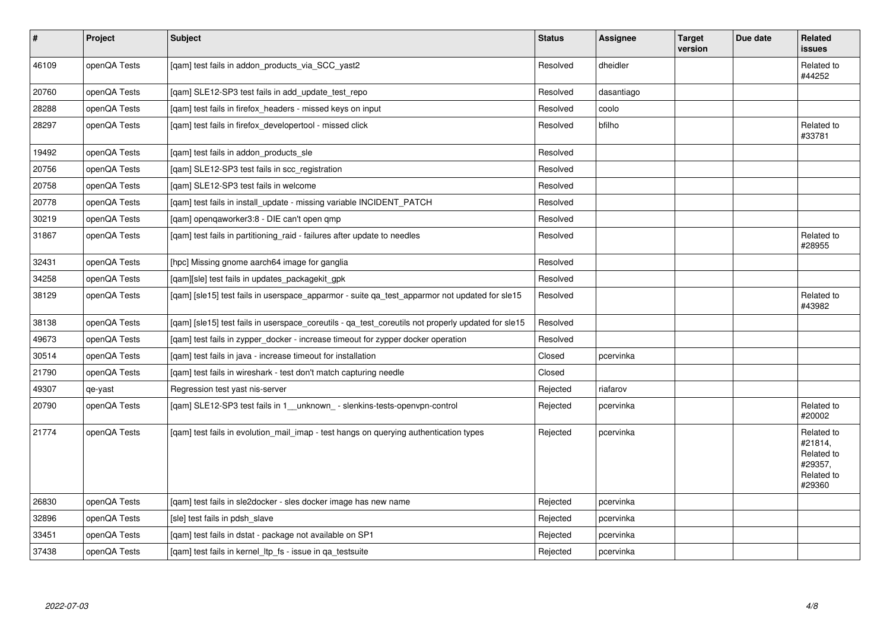| $\vert$ # | Project      | Subject                                                                                            | <b>Status</b> | Assignee   | <b>Target</b><br>version | Due date | Related<br>issues                                                      |
|-----------|--------------|----------------------------------------------------------------------------------------------------|---------------|------------|--------------------------|----------|------------------------------------------------------------------------|
| 46109     | openQA Tests | [gam] test fails in addon products via SCC yast2                                                   | Resolved      | dheidler   |                          |          | Related to<br>#44252                                                   |
| 20760     | openQA Tests | [qam] SLE12-SP3 test fails in add_update_test_repo                                                 | Resolved      | dasantiago |                          |          |                                                                        |
| 28288     | openQA Tests | [gam] test fails in firefox headers - missed keys on input                                         | Resolved      | coolo      |                          |          |                                                                        |
| 28297     | openQA Tests | [qam] test fails in firefox_developertool - missed click                                           | Resolved      | bfilho     |                          |          | Related to<br>#33781                                                   |
| 19492     | openQA Tests | [gam] test fails in addon products sle                                                             | Resolved      |            |                          |          |                                                                        |
| 20756     | openQA Tests | [gam] SLE12-SP3 test fails in scc registration                                                     | Resolved      |            |                          |          |                                                                        |
| 20758     | openQA Tests | [gam] SLE12-SP3 test fails in welcome                                                              | Resolved      |            |                          |          |                                                                        |
| 20778     | openQA Tests | [gam] test fails in install update - missing variable INCIDENT PATCH                               | Resolved      |            |                          |          |                                                                        |
| 30219     | openQA Tests | [qam] openqaworker3:8 - DIE can't open qmp                                                         | Resolved      |            |                          |          |                                                                        |
| 31867     | openQA Tests | [gam] test fails in partitioning raid - failures after update to needles                           | Resolved      |            |                          |          | Related to<br>#28955                                                   |
| 32431     | openQA Tests | [hpc] Missing gnome aarch64 image for ganglia                                                      | Resolved      |            |                          |          |                                                                        |
| 34258     | openQA Tests | [qam][sle] test fails in updates_packagekit_gpk                                                    | Resolved      |            |                          |          |                                                                        |
| 38129     | openQA Tests | [gam] [sle15] test fails in userspace apparmor - suite ga test apparmor not updated for sle15      | Resolved      |            |                          |          | Related to<br>#43982                                                   |
| 38138     | openQA Tests | [gam] [sle15] test fails in userspace coreutils - ga test coreutils not properly updated for sle15 | Resolved      |            |                          |          |                                                                        |
| 49673     | openQA Tests | [qam] test fails in zypper_docker - increase timeout for zypper docker operation                   | Resolved      |            |                          |          |                                                                        |
| 30514     | openQA Tests | [gam] test fails in java - increase timeout for installation                                       | Closed        | pcervinka  |                          |          |                                                                        |
| 21790     | openQA Tests | [qam] test fails in wireshark - test don't match capturing needle                                  | Closed        |            |                          |          |                                                                        |
| 49307     | qe-yast      | Regression test yast nis-server                                                                    | Rejected      | riafarov   |                          |          |                                                                        |
| 20790     | openQA Tests | [qam] SLE12-SP3 test fails in 1_unknown_ - slenkins-tests-openvpn-control                          | Rejected      | pcervinka  |                          |          | Related to<br>#20002                                                   |
| 21774     | openQA Tests | [gam] test fails in evolution_mail_imap - test hangs on querying authentication types              | Rejected      | pcervinka  |                          |          | Related to<br>#21814,<br>Related to<br>#29357,<br>Related to<br>#29360 |
| 26830     | openQA Tests | [gam] test fails in sle2docker - sles docker image has new name                                    | Rejected      | pcervinka  |                          |          |                                                                        |
| 32896     | openQA Tests | [sle] test fails in pdsh slave                                                                     | Rejected      | pcervinka  |                          |          |                                                                        |
| 33451     | openQA Tests | [gam] test fails in dstat - package not available on SP1                                           | Rejected      | pcervinka  |                          |          |                                                                        |
| 37438     | openQA Tests | [gam] test fails in kernel Itp fs - issue in ga testsuite                                          | Rejected      | pcervinka  |                          |          |                                                                        |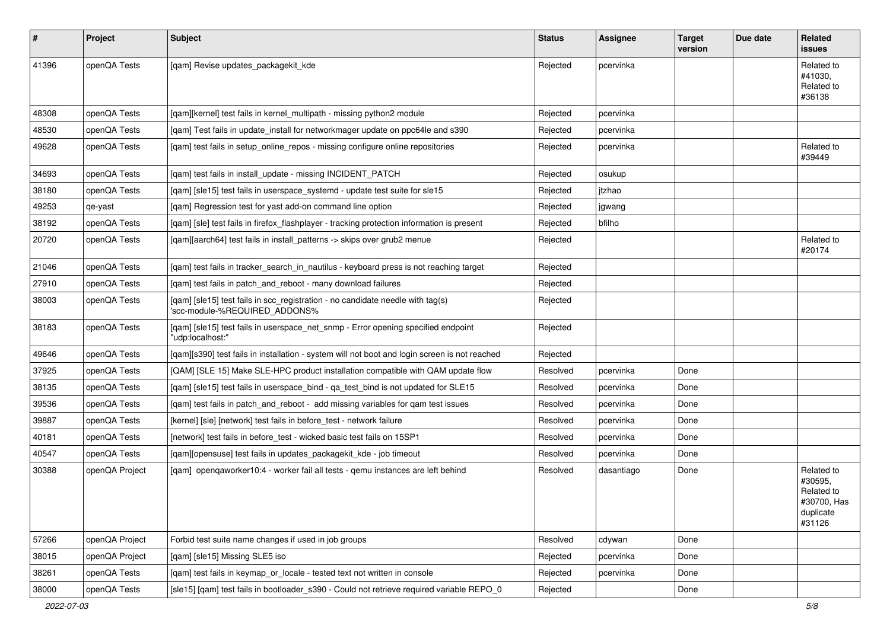| #     | Project        | Subject                                                                                                         | <b>Status</b> | Assignee   | <b>Target</b><br>version | Due date | Related<br>issues                                                         |
|-------|----------------|-----------------------------------------------------------------------------------------------------------------|---------------|------------|--------------------------|----------|---------------------------------------------------------------------------|
| 41396 | openQA Tests   | [qam] Revise updates_packagekit_kde                                                                             | Rejected      | pcervinka  |                          |          | Related to<br>#41030,<br>Related to<br>#36138                             |
| 48308 | openQA Tests   | [qam][kernel] test fails in kernel_multipath - missing python2 module                                           | Rejected      | pcervinka  |                          |          |                                                                           |
| 48530 | openQA Tests   | [qam] Test fails in update_install for networkmager update on ppc64le and s390                                  | Rejected      | pcervinka  |                          |          |                                                                           |
| 49628 | openQA Tests   | [qam] test fails in setup_online_repos - missing configure online repositories                                  | Rejected      | pcervinka  |                          |          | Related to<br>#39449                                                      |
| 34693 | openQA Tests   | [qam] test fails in install_update - missing INCIDENT_PATCH                                                     | Rejected      | osukup     |                          |          |                                                                           |
| 38180 | openQA Tests   | [qam] [sle15] test fails in userspace_systemd - update test suite for sle15                                     | Rejected      | jtzhao     |                          |          |                                                                           |
| 49253 | qe-yast        | [qam] Regression test for yast add-on command line option                                                       | Rejected      | jgwang     |                          |          |                                                                           |
| 38192 | openQA Tests   | [qam] [sle] test fails in firefox_flashplayer - tracking protection information is present                      | Rejected      | bfilho     |                          |          |                                                                           |
| 20720 | openQA Tests   | [qam][aarch64] test fails in install_patterns -> skips over grub2 menue                                         | Rejected      |            |                          |          | Related to<br>#20174                                                      |
| 21046 | openQA Tests   | [qam] test fails in tracker_search_in_nautilus - keyboard press is not reaching target                          | Rejected      |            |                          |          |                                                                           |
| 27910 | openQA Tests   | [gam] test fails in patch and reboot - many download failures                                                   | Rejected      |            |                          |          |                                                                           |
| 38003 | openQA Tests   | [qam] [sle15] test fails in scc_registration - no candidate needle with tag(s)<br>'scc-module-%REQUIRED ADDONS% | Rejected      |            |                          |          |                                                                           |
| 38183 | openQA Tests   | [qam] [sle15] test fails in userspace_net_snmp - Error opening specified endpoint<br>"udp:localhost:"           | Rejected      |            |                          |          |                                                                           |
| 49646 | openQA Tests   | [qam][s390] test fails in installation - system will not boot and login screen is not reached                   | Rejected      |            |                          |          |                                                                           |
| 37925 | openQA Tests   | [QAM] [SLE 15] Make SLE-HPC product installation compatible with QAM update flow                                | Resolved      | pcervinka  | Done                     |          |                                                                           |
| 38135 | openQA Tests   | [qam] [sle15] test fails in userspace_bind - qa_test_bind is not updated for SLE15                              | Resolved      | pcervinka  | Done                     |          |                                                                           |
| 39536 | openQA Tests   | [gam] test fails in patch and reboot - add missing variables for gam test issues                                | Resolved      | pcervinka  | Done                     |          |                                                                           |
| 39887 | openQA Tests   | [kernel] [sle] [network] test fails in before_test - network failure                                            | Resolved      | pcervinka  | Done                     |          |                                                                           |
| 40181 | openQA Tests   | [network] test fails in before_test - wicked basic test fails on 15SP1                                          | Resolved      | pcervinka  | Done                     |          |                                                                           |
| 40547 | openQA Tests   | [qam][opensuse] test fails in updates_packagekit_kde - job timeout                                              | Resolved      | pcervinka  | Done                     |          |                                                                           |
| 30388 | openQA Project | [qam] openqaworker10:4 - worker fail all tests - qemu instances are left behind                                 | Resolved      | dasantiago | Done                     |          | Related to<br>#30595,<br>Related to<br>#30700, Has<br>duplicate<br>#31126 |
| 57266 | openQA Project | Forbid test suite name changes if used in job groups                                                            | Resolved      | cdywan     | Done                     |          |                                                                           |
| 38015 | openQA Project | [qam] [sle15] Missing SLE5 iso                                                                                  | Rejected      | pcervinka  | Done                     |          |                                                                           |
| 38261 | openQA Tests   | [qam] test fails in keymap_or_locale - tested text not written in console                                       | Rejected      | pcervinka  | Done                     |          |                                                                           |
| 38000 | openQA Tests   | [sle15] [qam] test fails in bootloader_s390 - Could not retrieve required variable REPO_0                       | Rejected      |            | Done                     |          |                                                                           |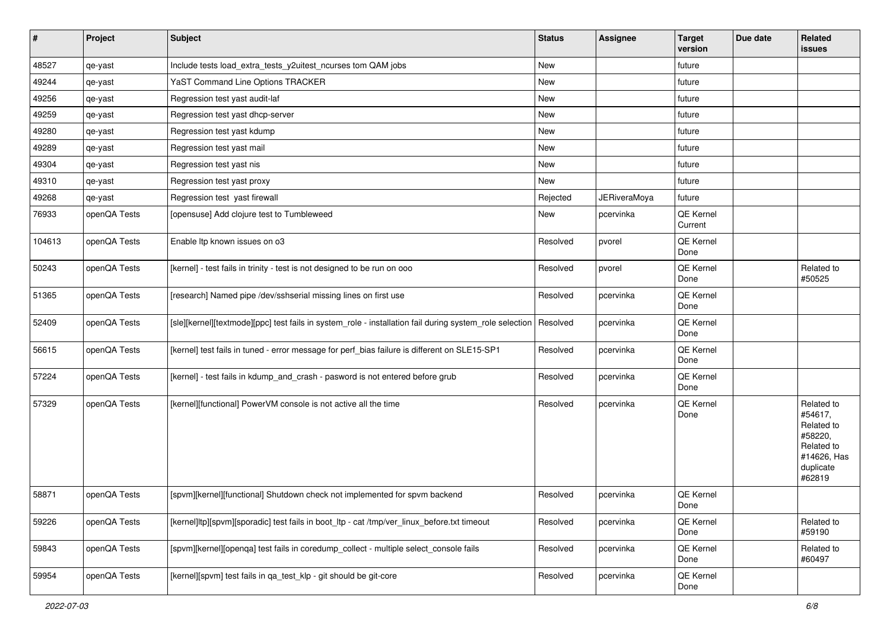| $\vert$ # | Project      | <b>Subject</b>                                                                                          | <b>Status</b> | Assignee            | <b>Target</b><br>version | Due date | Related<br>issues                                                                                  |
|-----------|--------------|---------------------------------------------------------------------------------------------------------|---------------|---------------------|--------------------------|----------|----------------------------------------------------------------------------------------------------|
| 48527     | qe-yast      | Include tests load_extra_tests_y2uitest_ncurses tom QAM jobs                                            | New           |                     | future                   |          |                                                                                                    |
| 49244     | qe-yast      | YaST Command Line Options TRACKER                                                                       | New           |                     | future                   |          |                                                                                                    |
| 49256     | qe-yast      | Regression test yast audit-laf                                                                          | New           |                     | future                   |          |                                                                                                    |
| 49259     | qe-yast      | Regression test yast dhcp-server                                                                        | New           |                     | future                   |          |                                                                                                    |
| 49280     | qe-yast      | Regression test yast kdump                                                                              | New           |                     | future                   |          |                                                                                                    |
| 49289     | qe-yast      | Regression test yast mail                                                                               | New           |                     | future                   |          |                                                                                                    |
| 49304     | qe-yast      | Regression test yast nis                                                                                | New           |                     | future                   |          |                                                                                                    |
| 49310     | qe-yast      | Regression test yast proxy                                                                              | New           |                     | future                   |          |                                                                                                    |
| 49268     | qe-yast      | Regression test yast firewall                                                                           | Rejected      | <b>JERiveraMoya</b> | future                   |          |                                                                                                    |
| 76933     | openQA Tests | [opensuse] Add clojure test to Tumbleweed                                                               | New           | pcervinka           | QE Kernel<br>Current     |          |                                                                                                    |
| 104613    | openQA Tests | Enable Itp known issues on o3                                                                           | Resolved      | pvorel              | QE Kernel<br>Done        |          |                                                                                                    |
| 50243     | openQA Tests | [kernel] - test fails in trinity - test is not designed to be run on ooo                                | Resolved      | pvorel              | <b>QE Kernel</b><br>Done |          | Related to<br>#50525                                                                               |
| 51365     | openQA Tests | [research] Named pipe /dev/sshserial missing lines on first use                                         | Resolved      | pcervinka           | <b>QE Kernel</b><br>Done |          |                                                                                                    |
| 52409     | openQA Tests | [sle][kernel][textmode][ppc] test fails in system_role - installation fail during system_role selection | Resolved      | pcervinka           | <b>QE Kernel</b><br>Done |          |                                                                                                    |
| 56615     | openQA Tests | [kernel] test fails in tuned - error message for perf_bias failure is different on SLE15-SP1            | Resolved      | pcervinka           | QE Kernel<br>Done        |          |                                                                                                    |
| 57224     | openQA Tests | [kernel] - test fails in kdump_and_crash - pasword is not entered before grub                           | Resolved      | pcervinka           | QE Kernel<br>Done        |          |                                                                                                    |
| 57329     | openQA Tests | [kernel][functional] PowerVM console is not active all the time                                         | Resolved      | pcervinka           | QE Kernel<br>Done        |          | Related to<br>#54617,<br>Related to<br>#58220,<br>Related to<br>#14626, Has<br>duplicate<br>#62819 |
| 58871     | openQA Tests | [spvm][kernel][functional] Shutdown check not implemented for spvm backend                              | Resolved      | pcervinka           | QE Kernel<br>Done        |          |                                                                                                    |
| 59226     | openQA Tests | [kernel]ltp][spvm][sporadic] test fails in boot_ltp - cat /tmp/ver_linux_before.txt timeout             | Resolved      | pcervinka           | <b>QE Kernel</b><br>Done |          | Related to<br>#59190                                                                               |
| 59843     | openQA Tests | [spvm][kernel][openqa] test fails in coredump_collect - multiple select_console fails                   | Resolved      | pcervinka           | QE Kernel<br>Done        |          | Related to<br>#60497                                                                               |
| 59954     | openQA Tests | [kernel][spvm] test fails in qa_test_klp - git should be git-core                                       | Resolved      | pcervinka           | QE Kernel<br>Done        |          |                                                                                                    |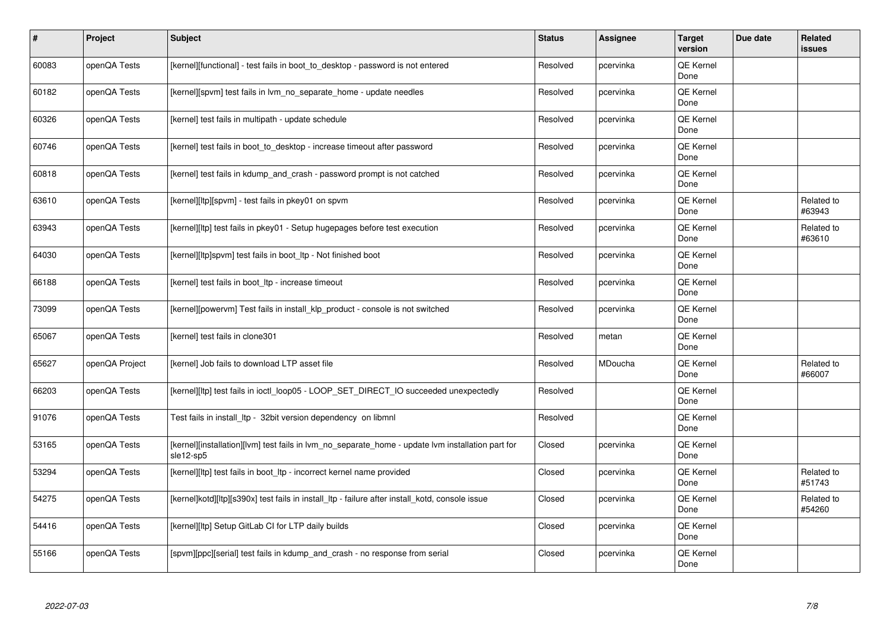| #     | Project        | <b>Subject</b>                                                                                                 | <b>Status</b> | <b>Assignee</b> | <b>Target</b><br>version | Due date | <b>Related</b><br><b>issues</b> |
|-------|----------------|----------------------------------------------------------------------------------------------------------------|---------------|-----------------|--------------------------|----------|---------------------------------|
| 60083 | openQA Tests   | [kernel][functional] - test fails in boot to desktop - password is not entered                                 | Resolved      | pcervinka       | <b>QE Kernel</b><br>Done |          |                                 |
| 60182 | openQA Tests   | [kernel][spvm] test fails in lvm_no_separate_home - update needles                                             | Resolved      | pcervinka       | <b>QE Kernel</b><br>Done |          |                                 |
| 60326 | openQA Tests   | [kernel] test fails in multipath - update schedule                                                             | Resolved      | pcervinka       | QE Kernel<br>Done        |          |                                 |
| 60746 | openQA Tests   | [kernel] test fails in boot_to_desktop - increase timeout after password                                       | Resolved      | pcervinka       | <b>QE Kernel</b><br>Done |          |                                 |
| 60818 | openQA Tests   | [kernel] test fails in kdump and crash - password prompt is not catched                                        | Resolved      | pcervinka       | <b>QE Kernel</b><br>Done |          |                                 |
| 63610 | openQA Tests   | [kernel][ltp][spvm] - test fails in pkey01 on spvm                                                             | Resolved      | pcervinka       | QE Kernel<br>Done        |          | Related to<br>#63943            |
| 63943 | openQA Tests   | [kernel][ltp] test fails in pkey01 - Setup hugepages before test execution                                     | Resolved      | pcervinka       | QE Kernel<br>Done        |          | Related to<br>#63610            |
| 64030 | openQA Tests   | [kernel][ltp]spvm] test fails in boot_ltp - Not finished boot                                                  | Resolved      | pcervinka       | QE Kernel<br>Done        |          |                                 |
| 66188 | openQA Tests   | [kernel] test fails in boot Itp - increase timeout                                                             | Resolved      | pcervinka       | QE Kernel<br>Done        |          |                                 |
| 73099 | openQA Tests   | [kernel][powervm] Test fails in install_klp_product - console is not switched                                  | Resolved      | pcervinka       | <b>QE Kernel</b><br>Done |          |                                 |
| 65067 | openQA Tests   | [kernel] test fails in clone301                                                                                | Resolved      | metan           | QE Kernel<br>Done        |          |                                 |
| 65627 | openQA Project | [kernel] Job fails to download LTP asset file                                                                  | Resolved      | MDoucha         | <b>QE Kernel</b><br>Done |          | Related to<br>#66007            |
| 66203 | openQA Tests   | [kernel][ltp] test fails in ioctl loop05 - LOOP SET DIRECT IO succeeded unexpectedly                           | Resolved      |                 | <b>QE Kernel</b><br>Done |          |                                 |
| 91076 | openQA Tests   | Test fails in install_ltp - 32bit version dependency on libmnl                                                 | Resolved      |                 | <b>QE Kernel</b><br>Done |          |                                 |
| 53165 | openQA Tests   | [kernel][installation][lvm] test fails in lvm no separate home - update lvm installation part for<br>sle12-sp5 | Closed        | pcervinka       | QE Kernel<br>Done        |          |                                 |
| 53294 | openQA Tests   | [kernel][ltp] test fails in boot_ltp - incorrect kernel name provided                                          | Closed        | pcervinka       | <b>QE Kernel</b><br>Done |          | Related to<br>#51743            |
| 54275 | openQA Tests   | [kernel]kotd][ltp][s390x] test fails in install ltp - failure after install kotd, console issue                | Closed        | pcervinka       | QE Kernel<br>Done        |          | Related to<br>#54260            |
| 54416 | openQA Tests   | [kernel][ltp] Setup GitLab CI for LTP daily builds                                                             | Closed        | pcervinka       | <b>QE Kernel</b><br>Done |          |                                 |
| 55166 | openQA Tests   | [spvm][ppc][serial] test fails in kdump and crash - no response from serial                                    | Closed        | pcervinka       | QE Kernel<br>Done        |          |                                 |